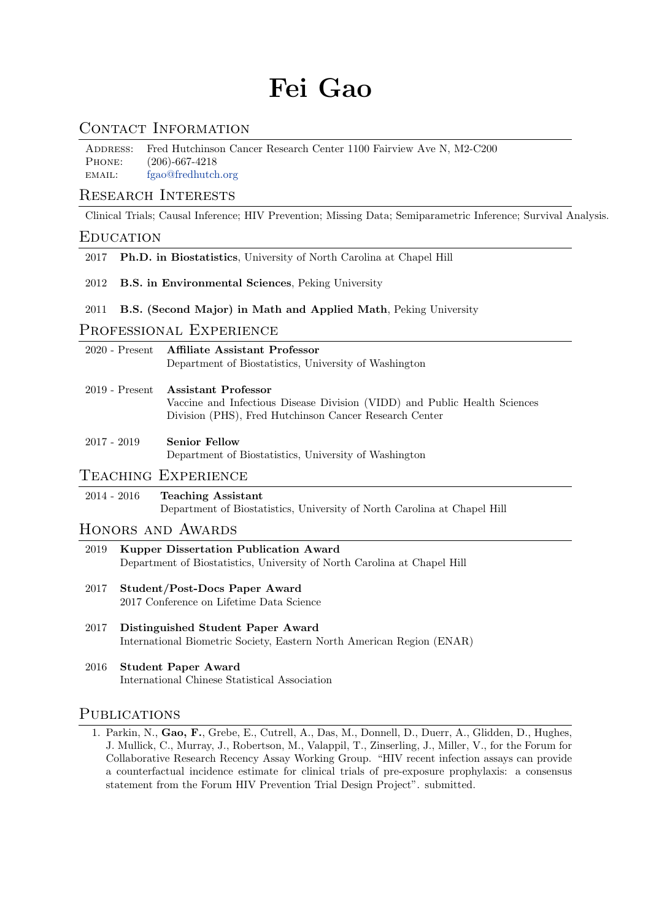# Fei Gao

# CONTACT INFORMATION

Address: Fred Hutchinson Cancer Research Center 1100 Fairview Ave N, M2-C200 Phone: (206)-667-4218 email: [fgao@fredhutch.org](mailto:fgao@fredhutch.org)

## Research Interests

Clinical Trials; Causal Inference; HIV Prevention; Missing Data; Semiparametric Inference; Survival Analysis.

## **EDUCATION**

- 2017 Ph.D. in Biostatistics, University of North Carolina at Chapel Hill
- 2012 B.S. in Environmental Sciences, Peking University
- 2011 B.S. (Second Major) in Math and Applied Math, Peking University

# PROFESSIONAL EXPERIENCE

|             | 2020 - Present Affiliate Assistant Professor<br>Department of Biostatistics, University of Washington                                                                     |
|-------------|---------------------------------------------------------------------------------------------------------------------------------------------------------------------------|
|             | 2019 - Present Assistant Professor<br>Vaccine and Infectious Disease Division (VIDD) and Public Health Sciences<br>Division (PHS), Fred Hutchinson Cancer Research Center |
| 2017 - 2019 | <b>Senior Fellow</b><br>Department of Biostatistics, University of Washington                                                                                             |

# Teaching Experience

#### 2014 - 2016 Teaching Assistant Department of Biostatistics, University of North Carolina at Chapel Hill

#### Honors and Awards

- 2019 Kupper Dissertation Publication Award Department of Biostatistics, University of North Carolina at Chapel Hill
- 2017 Student/Post-Docs Paper Award 2017 Conference on Lifetime Data Science
- 2017 Distinguished Student Paper Award International Biometric Society, Eastern North American Region (ENAR)
- 2016 Student Paper Award International Chinese Statistical Association

## PUBLICATIONS

1. Parkin, N., Gao, F., Grebe, E., Cutrell, A., Das, M., Donnell, D., Duerr, A., Glidden, D., Hughes, J. Mullick, C., Murray, J., Robertson, M., Valappil, T., Zinserling, J., Miller, V., for the Forum for Collaborative Research Recency Assay Working Group. "HIV recent infection assays can provide a counterfactual incidence estimate for clinical trials of pre-exposure prophylaxis: a consensus statement from the Forum HIV Prevention Trial Design Project". submitted.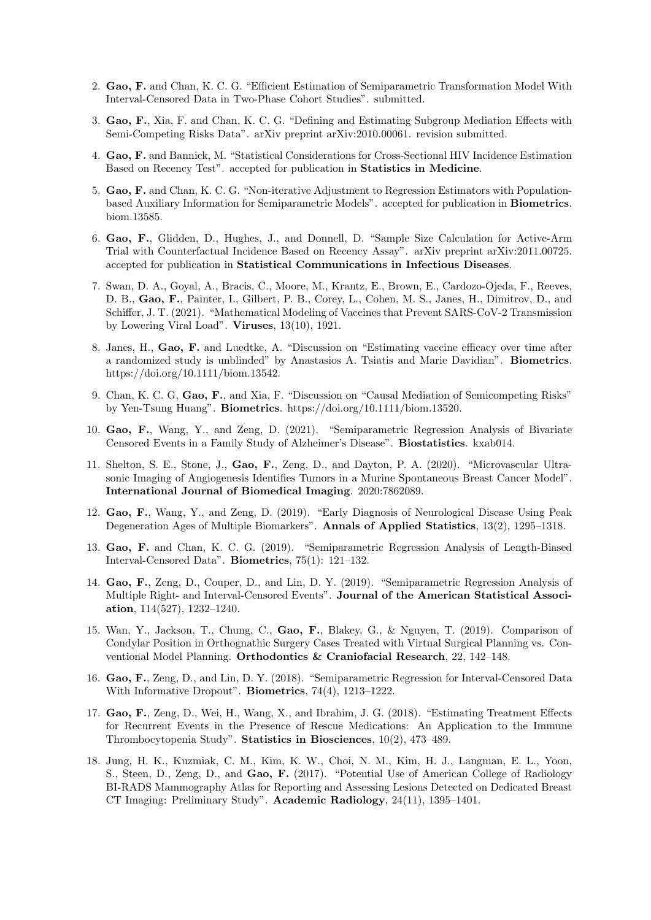- 2. Gao, F. and Chan, K. C. G. "Efficient Estimation of Semiparametric Transformation Model With Interval-Censored Data in Two-Phase Cohort Studies". submitted.
- 3. Gao, F., Xia, F. and Chan, K. C. G. "Defining and Estimating Subgroup Mediation Effects with Semi-Competing Risks Data". arXiv preprint arXiv:2010.00061. revision submitted.
- 4. Gao, F. and Bannick, M. "Statistical Considerations for Cross-Sectional HIV Incidence Estimation Based on Recency Test". accepted for publication in Statistics in Medicine.
- 5. Gao, F. and Chan, K. C. G. "Non-iterative Adjustment to Regression Estimators with Populationbased Auxiliary Information for Semiparametric Models". accepted for publication in Biometrics. biom.13585.
- 6. Gao, F., Glidden, D., Hughes, J., and Donnell, D. "Sample Size Calculation for Active-Arm Trial with Counterfactual Incidence Based on Recency Assay". arXiv preprint arXiv:2011.00725. accepted for publication in Statistical Communications in Infectious Diseases.
- 7. Swan, D. A., Goyal, A., Bracis, C., Moore, M., Krantz, E., Brown, E., Cardozo-Ojeda, F., Reeves, D. B., Gao, F., Painter, I., Gilbert, P. B., Corey, L., Cohen, M. S., Janes, H., Dimitrov, D., and Schiffer, J. T. (2021). "Mathematical Modeling of Vaccines that Prevent SARS-CoV-2 Transmission by Lowering Viral Load". Viruses, 13(10), 1921.
- 8. Janes, H., Gao, F. and Luedtke, A. "Discussion on "Estimating vaccine efficacy over time after a randomized study is unblinded" by Anastasios A. Tsiatis and Marie Davidian". Biometrics. https://doi.org/10.1111/biom.13542.
- 9. Chan, K. C. G, Gao, F., and Xia, F. "Discussion on "Causal Mediation of Semicompeting Risks" by Yen-Tsung Huang". Biometrics. https://doi.org/10.1111/biom.13520.
- 10. Gao, F., Wang, Y., and Zeng, D. (2021). "Semiparametric Regression Analysis of Bivariate Censored Events in a Family Study of Alzheimer's Disease". Biostatistics. kxab014.
- 11. Shelton, S. E., Stone, J., Gao, F., Zeng, D., and Dayton, P. A. (2020). "Microvascular Ultrasonic Imaging of Angiogenesis Identifies Tumors in a Murine Spontaneous Breast Cancer Model". International Journal of Biomedical Imaging. 2020:7862089.
- 12. Gao, F., Wang, Y., and Zeng, D. (2019). "Early Diagnosis of Neurological Disease Using Peak Degeneration Ages of Multiple Biomarkers". Annals of Applied Statistics, 13(2), 1295–1318.
- 13. Gao, F. and Chan, K. C. G. (2019). "Semiparametric Regression Analysis of Length-Biased Interval-Censored Data". Biometrics, 75(1): 121–132.
- 14. Gao, F., Zeng, D., Couper, D., and Lin, D. Y. (2019). "Semiparametric Regression Analysis of Multiple Right- and Interval-Censored Events". Journal of the American Statistical Association, 114(527), 1232–1240.
- 15. Wan, Y., Jackson, T., Chung, C., Gao, F., Blakey, G., & Nguyen, T. (2019). Comparison of Condylar Position in Orthognathic Surgery Cases Treated with Virtual Surgical Planning vs. Conventional Model Planning. Orthodontics & Craniofacial Research, 22, 142–148.
- 16. Gao, F., Zeng, D., and Lin, D. Y. (2018). "Semiparametric Regression for Interval-Censored Data With Informative Dropout". Biometrics, 74(4), 1213–1222.
- 17. Gao, F., Zeng, D., Wei, H., Wang, X., and Ibrahim, J. G. (2018). "Estimating Treatment Effects for Recurrent Events in the Presence of Rescue Medications: An Application to the Immune Thrombocytopenia Study". Statistics in Biosciences, 10(2), 473–489.
- 18. Jung, H. K., Kuzmiak, C. M., Kim, K. W., Choi, N. M., Kim, H. J., Langman, E. L., Yoon, S., Steen, D., Zeng, D., and Gao, F. (2017). "Potential Use of American College of Radiology BI-RADS Mammography Atlas for Reporting and Assessing Lesions Detected on Dedicated Breast CT Imaging: Preliminary Study". Academic Radiology, 24(11), 1395–1401.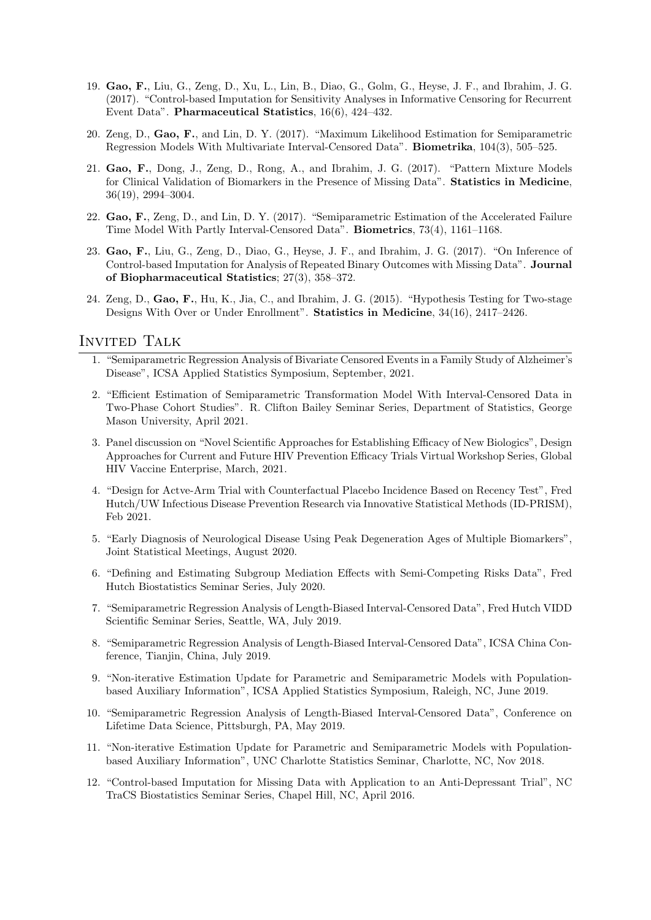- 19. Gao, F., Liu, G., Zeng, D., Xu, L., Lin, B., Diao, G., Golm, G., Heyse, J. F., and Ibrahim, J. G. (2017). "Control-based Imputation for Sensitivity Analyses in Informative Censoring for Recurrent Event Data". Pharmaceutical Statistics, 16(6), 424–432.
- 20. Zeng, D., Gao, F., and Lin, D. Y. (2017). "Maximum Likelihood Estimation for Semiparametric Regression Models With Multivariate Interval-Censored Data". Biometrika, 104(3), 505–525.
- 21. Gao, F., Dong, J., Zeng, D., Rong, A., and Ibrahim, J. G. (2017). "Pattern Mixture Models for Clinical Validation of Biomarkers in the Presence of Missing Data". Statistics in Medicine, 36(19), 2994–3004.
- 22. Gao, F., Zeng, D., and Lin, D. Y. (2017). "Semiparametric Estimation of the Accelerated Failure Time Model With Partly Interval-Censored Data". Biometrics, 73(4), 1161–1168.
- 23. Gao, F., Liu, G., Zeng, D., Diao, G., Heyse, J. F., and Ibrahim, J. G. (2017). "On Inference of Control-based Imputation for Analysis of Repeated Binary Outcomes with Missing Data". Journal of Biopharmaceutical Statistics; 27(3), 358–372.
- 24. Zeng, D., Gao, F., Hu, K., Jia, C., and Ibrahim, J. G. (2015). "Hypothesis Testing for Two-stage Designs With Over or Under Enrollment". Statistics in Medicine, 34(16), 2417–2426.

#### Invited Talk

- 1. "Semiparametric Regression Analysis of Bivariate Censored Events in a Family Study of Alzheimer's Disease", ICSA Applied Statistics Symposium, September, 2021.
- 2. "Efficient Estimation of Semiparametric Transformation Model With Interval-Censored Data in Two-Phase Cohort Studies". R. Clifton Bailey Seminar Series, Department of Statistics, George Mason University, April 2021.
- 3. Panel discussion on "Novel Scientific Approaches for Establishing Efficacy of New Biologics", Design Approaches for Current and Future HIV Prevention Efficacy Trials Virtual Workshop Series, Global HIV Vaccine Enterprise, March, 2021.
- 4. "Design for Actve-Arm Trial with Counterfactual Placebo Incidence Based on Recency Test", Fred Hutch/UW Infectious Disease Prevention Research via Innovative Statistical Methods (ID-PRISM), Feb 2021.
- 5. "Early Diagnosis of Neurological Disease Using Peak Degeneration Ages of Multiple Biomarkers", Joint Statistical Meetings, August 2020.
- 6. "Defining and Estimating Subgroup Mediation Effects with Semi-Competing Risks Data", Fred Hutch Biostatistics Seminar Series, July 2020.
- 7. "Semiparametric Regression Analysis of Length-Biased Interval-Censored Data", Fred Hutch VIDD Scientific Seminar Series, Seattle, WA, July 2019.
- 8. "Semiparametric Regression Analysis of Length-Biased Interval-Censored Data", ICSA China Conference, Tianjin, China, July 2019.
- 9. "Non-iterative Estimation Update for Parametric and Semiparametric Models with Populationbased Auxiliary Information", ICSA Applied Statistics Symposium, Raleigh, NC, June 2019.
- 10. "Semiparametric Regression Analysis of Length-Biased Interval-Censored Data", Conference on Lifetime Data Science, Pittsburgh, PA, May 2019.
- 11. "Non-iterative Estimation Update for Parametric and Semiparametric Models with Populationbased Auxiliary Information", UNC Charlotte Statistics Seminar, Charlotte, NC, Nov 2018.
- 12. "Control-based Imputation for Missing Data with Application to an Anti-Depressant Trial", NC TraCS Biostatistics Seminar Series, Chapel Hill, NC, April 2016.